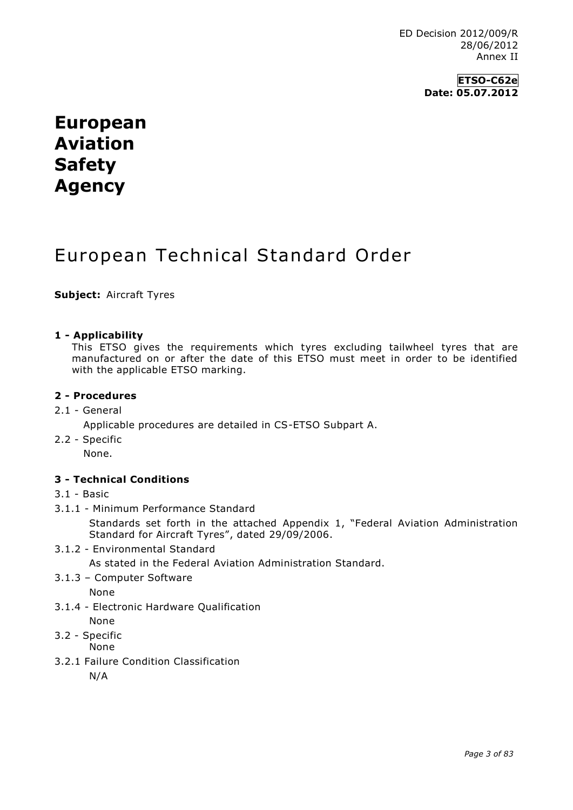### **ETSO-C62e Date: 05.07.2012**

# **European Aviation Safety Agency**

# European Technical Standard Order

**Subject:** Aircraft Tyres

#### **1 - Applicability**

This ETSO gives the requirements which tyres excluding tailwheel tyres that are manufactured on or after the date of this ETSO must meet in order to be identified with the applicable ETSO marking.

#### **2 - Procedures**

2.1 - General

Applicable procedures are detailed in CS-ETSO Subpart A.

2.2 - Specific

None.

#### **3 - Technical Conditions**

- 3.1 Basic
- 3.1.1 Minimum Performance Standard

Standards set forth in the attached Appendix 1, "Federal Aviation Administration Standard for Aircraft Tyres", dated 29/09/2006.

3.1.2 - Environmental Standard

As stated in the Federal Aviation Administration Standard.

3.1.3 – Computer Software

None

- 3.1.4 Electronic Hardware Qualification None
- 3.2 Specific

None

3.2.1 Failure Condition Classification

N/A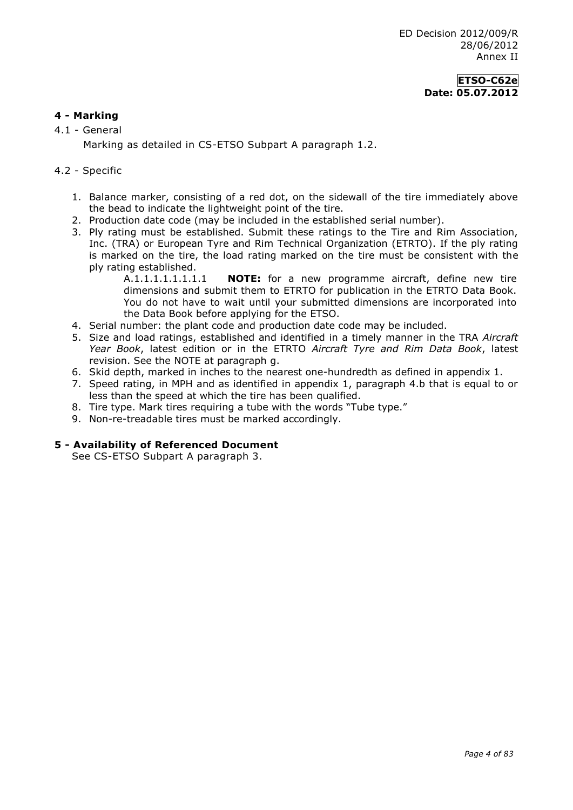### **ETSO-C62e Date: 05.07.2012**

### **4 - Marking**

4.1 - General

Marking as detailed in CS-ETSO Subpart A paragraph 1.2.

#### 4.2 - Specific

- 1. Balance marker, consisting of a red dot, on the sidewall of the tire immediately above the bead to indicate the lightweight point of the tire.
- 2. Production date code (may be included in the established serial number).
- 3. Ply rating must be established. Submit these ratings to the Tire and Rim Association, Inc. (TRA) or European Tyre and Rim Technical Organization (ETRTO). If the ply rating is marked on the tire, the load rating marked on the tire must be consistent with the ply rating established.
	- A.1.1.1.1.1.1.1.1 **NOTE:** for a new programme aircraft, define new tire dimensions and submit them to ETRTO for publication in the ETRTO Data Book. You do not have to wait until your submitted dimensions are incorporated into the Data Book before applying for the ETSO.
- 4. Serial number: the plant code and production date code may be included.
- 5. Size and load ratings, established and identified in a timely manner in the TRA *Aircraft Year Book*, latest edition or in the ETRTO *Aircraft Tyre and Rim Data Book*, latest revision. See the NOTE at paragraph g.
- 6. Skid depth, marked in inches to the nearest one-hundredth as defined in appendix 1.
- 7. Speed rating, in MPH and as identified in appendix 1, paragraph 4.b that is equal to or less than the speed at which the tire has been qualified.
- 8. Tire type. Mark tires requiring a tube with the words "Tube type."
- 9. Non-re-treadable tires must be marked accordingly.

#### **5 - Availability of Referenced Document**

See CS-ETSO Subpart A paragraph 3.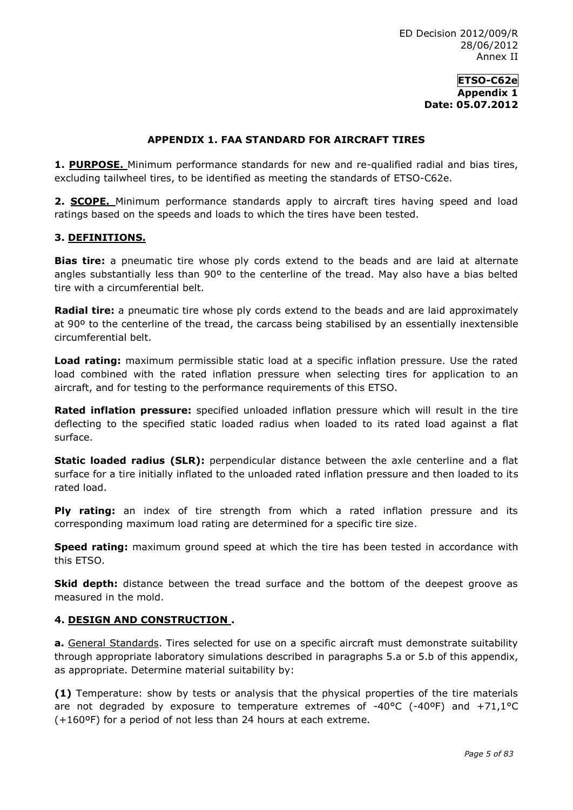#### **APPENDIX 1. FAA STANDARD FOR AIRCRAFT TIRES**

**1. PURPOSE.** Minimum performance standards for new and re-qualified radial and bias tires, excluding tailwheel tires, to be identified as meeting the standards of ETSO-C62e.

**2. SCOPE.** Minimum performance standards apply to aircraft tires having speed and load ratings based on the speeds and loads to which the tires have been tested.

#### **3. DEFINITIONS.**

**Bias tire:** a pneumatic tire whose ply cords extend to the beads and are laid at alternate angles substantially less than 90º to the centerline of the tread. May also have a bias belted tire with a circumferential belt.

**Radial tire:** a pneumatic tire whose ply cords extend to the beads and are laid approximately at 90º to the centerline of the tread, the carcass being stabilised by an essentially inextensible circumferential belt.

**Load rating:** maximum permissible static load at a specific inflation pressure. Use the rated load combined with the rated inflation pressure when selecting tires for application to an aircraft, and for testing to the performance requirements of this ETSO.

**Rated inflation pressure:** specified unloaded inflation pressure which will result in the tire deflecting to the specified static loaded radius when loaded to its rated load against a flat surface.

**Static loaded radius (SLR):** perpendicular distance between the axle centerline and a flat surface for a tire initially inflated to the unloaded rated inflation pressure and then loaded to its rated load.

**Ply rating:** an index of tire strength from which a rated inflation pressure and its corresponding maximum load rating are determined for a specific tire size.

**Speed rating:** maximum ground speed at which the tire has been tested in accordance with this ETSO.

**Skid depth:** distance between the tread surface and the bottom of the deepest groove as measured in the mold.

#### **4. DESIGN AND CONSTRUCTION .**

**a.** General Standards. Tires selected for use on a specific aircraft must demonstrate suitability through appropriate laboratory simulations described in paragraphs 5.a or 5.b of this appendix, as appropriate. Determine material suitability by:

**(1)** Temperature: show by tests or analysis that the physical properties of the tire materials are not degraded by exposure to temperature extremes of -40 $\degree$ C (-40 $\degree$ F) and +71,1 $\degree$ C (+160ºF) for a period of not less than 24 hours at each extreme.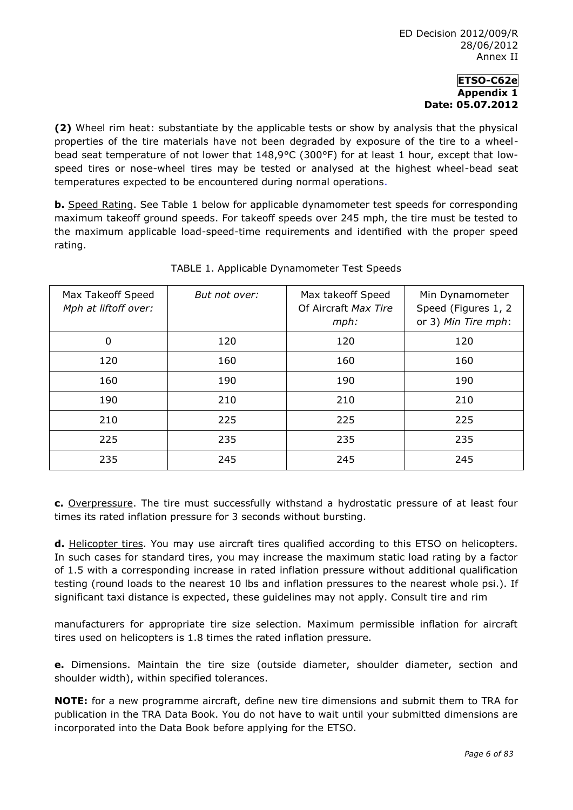**(2)** Wheel rim heat: substantiate by the applicable tests or show by analysis that the physical properties of the tire materials have not been degraded by exposure of the tire to a wheelbead seat temperature of not lower that 148,9°C (300°F) for at least 1 hour, except that lowspeed tires or nose-wheel tires may be tested or analysed at the highest wheel-bead seat temperatures expected to be encountered during normal operations.

**b.** Speed Rating. See Table 1 below for applicable dynamometer test speeds for corresponding maximum takeoff ground speeds. For takeoff speeds over 245 mph, the tire must be tested to the maximum applicable load-speed-time requirements and identified with the proper speed rating.

| Max Takeoff Speed<br>Mph at liftoff over: | But not over: | Max takeoff Speed<br>Of Aircraft Max Tire<br>$mph$ : | Min Dynamometer<br>Speed (Figures 1, 2<br>or 3) Min Tire mph: |
|-------------------------------------------|---------------|------------------------------------------------------|---------------------------------------------------------------|
| 0                                         | 120           | 120                                                  | 120                                                           |
| 120                                       | 160           | 160                                                  | 160                                                           |
| 160                                       | 190           | 190                                                  | 190                                                           |
| 190                                       | 210           | 210                                                  | 210                                                           |
| 210                                       | 225           | 225                                                  | 225                                                           |
| 225                                       | 235           | 235                                                  | 235                                                           |
| 235                                       | 245           | 245                                                  | 245                                                           |

# TABLE 1. Applicable Dynamometer Test Speeds

**c.** Overpressure. The tire must successfully withstand a hydrostatic pressure of at least four times its rated inflation pressure for 3 seconds without bursting.

d. Helicopter tires. You may use aircraft tires qualified according to this ETSO on helicopters. In such cases for standard tires, you may increase the maximum static load rating by a factor of 1.5 with a corresponding increase in rated inflation pressure without additional qualification testing (round loads to the nearest 10 lbs and inflation pressures to the nearest whole psi.). If significant taxi distance is expected, these guidelines may not apply. Consult tire and rim

manufacturers for appropriate tire size selection. Maximum permissible inflation for aircraft tires used on helicopters is 1.8 times the rated inflation pressure.

**e.** Dimensions. Maintain the tire size (outside diameter, shoulder diameter, section and shoulder width), within specified tolerances.

**NOTE:** for a new programme aircraft, define new tire dimensions and submit them to TRA for publication in the TRA Data Book. You do not have to wait until your submitted dimensions are incorporated into the Data Book before applying for the ETSO.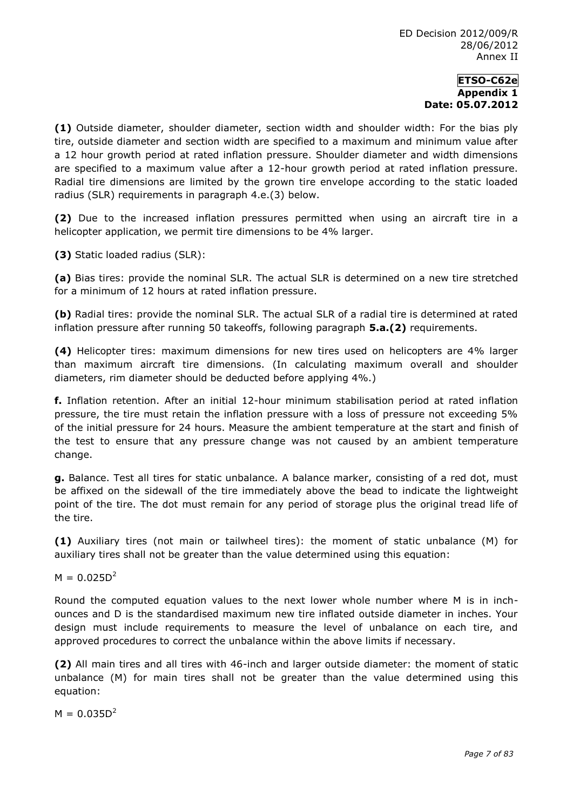**(1)** Outside diameter, shoulder diameter, section width and shoulder width: For the bias ply tire, outside diameter and section width are specified to a maximum and minimum value after a 12 hour growth period at rated inflation pressure. Shoulder diameter and width dimensions are specified to a maximum value after a 12-hour growth period at rated inflation pressure. Radial tire dimensions are limited by the grown tire envelope according to the static loaded radius (SLR) requirements in paragraph 4.e.(3) below.

**(2)** Due to the increased inflation pressures permitted when using an aircraft tire in a helicopter application, we permit tire dimensions to be 4% larger.

**(3)** Static loaded radius (SLR):

**(a)** Bias tires: provide the nominal SLR. The actual SLR is determined on a new tire stretched for a minimum of 12 hours at rated inflation pressure.

**(b)** Radial tires: provide the nominal SLR. The actual SLR of a radial tire is determined at rated inflation pressure after running 50 takeoffs, following paragraph **5.a.(2)** requirements.

**(4)** Helicopter tires: maximum dimensions for new tires used on helicopters are 4% larger than maximum aircraft tire dimensions. (In calculating maximum overall and shoulder diameters, rim diameter should be deducted before applying 4%.)

**f.** Inflation retention. After an initial 12-hour minimum stabilisation period at rated inflation pressure, the tire must retain the inflation pressure with a loss of pressure not exceeding 5% of the initial pressure for 24 hours. Measure the ambient temperature at the start and finish of the test to ensure that any pressure change was not caused by an ambient temperature change.

**g.** Balance. Test all tires for static unbalance. A balance marker, consisting of a red dot, must be affixed on the sidewall of the tire immediately above the bead to indicate the lightweight point of the tire. The dot must remain for any period of storage plus the original tread life of the tire.

**(1)** Auxiliary tires (not main or tailwheel tires): the moment of static unbalance (M) for auxiliary tires shall not be greater than the value determined using this equation:

 $M = 0.025D^2$ 

Round the computed equation values to the next lower whole number where M is in inchounces and D is the standardised maximum new tire inflated outside diameter in inches. Your design must include requirements to measure the level of unbalance on each tire, and approved procedures to correct the unbalance within the above limits if necessary.

**(2)** All main tires and all tires with 46-inch and larger outside diameter: the moment of static unbalance (M) for main tires shall not be greater than the value determined using this equation:

 $M = 0.035D^2$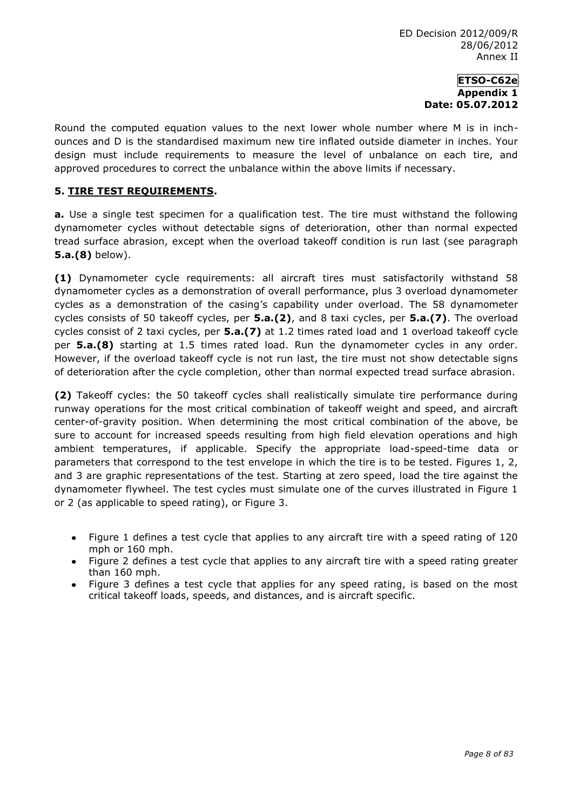Round the computed equation values to the next lower whole number where M is in inchounces and D is the standardised maximum new tire inflated outside diameter in inches. Your design must include requirements to measure the level of unbalance on each tire, and approved procedures to correct the unbalance within the above limits if necessary.

## **5. TIRE TEST REQUIREMENTS.**

**a.** Use a single test specimen for a qualification test. The tire must withstand the following dynamometer cycles without detectable signs of deterioration, other than normal expected tread surface abrasion, except when the overload takeoff condition is run last (see paragraph **5.a.(8)** below).

**(1)** Dynamometer cycle requirements: all aircraft tires must satisfactorily withstand 58 dynamometer cycles as a demonstration of overall performance, plus 3 overload dynamometer cycles as a demonstration of the casing's capability under overload. The 58 dynamometer cycles consists of 50 takeoff cycles, per **5.a.(2)**, and 8 taxi cycles, per **5.a.(7)**. The overload cycles consist of 2 taxi cycles, per **5.a.(7)** at 1.2 times rated load and 1 overload takeoff cycle per **5.a.(8)** starting at 1.5 times rated load. Run the dynamometer cycles in any order. However, if the overload takeoff cycle is not run last, the tire must not show detectable signs of deterioration after the cycle completion, other than normal expected tread surface abrasion.

**(2)** Takeoff cycles: the 50 takeoff cycles shall realistically simulate tire performance during runway operations for the most critical combination of takeoff weight and speed, and aircraft center-of-gravity position. When determining the most critical combination of the above, be sure to account for increased speeds resulting from high field elevation operations and high ambient temperatures, if applicable. Specify the appropriate load-speed-time data or parameters that correspond to the test envelope in which the tire is to be tested. Figures 1, 2, and 3 are graphic representations of the test. Starting at zero speed, load the tire against the dynamometer flywheel. The test cycles must simulate one of the curves illustrated in Figure 1 or 2 (as applicable to speed rating), or Figure 3.

- Figure 1 defines a test cycle that applies to any aircraft tire with a speed rating of 120  $\bullet$ mph or 160 mph.
- Figure 2 defines a test cycle that applies to any aircraft tire with a speed rating greater  $\bullet$ than 160 mph.
- Figure 3 defines a test cycle that applies for any speed rating, is based on the most  $\bullet$ critical takeoff loads, speeds, and distances, and is aircraft specific.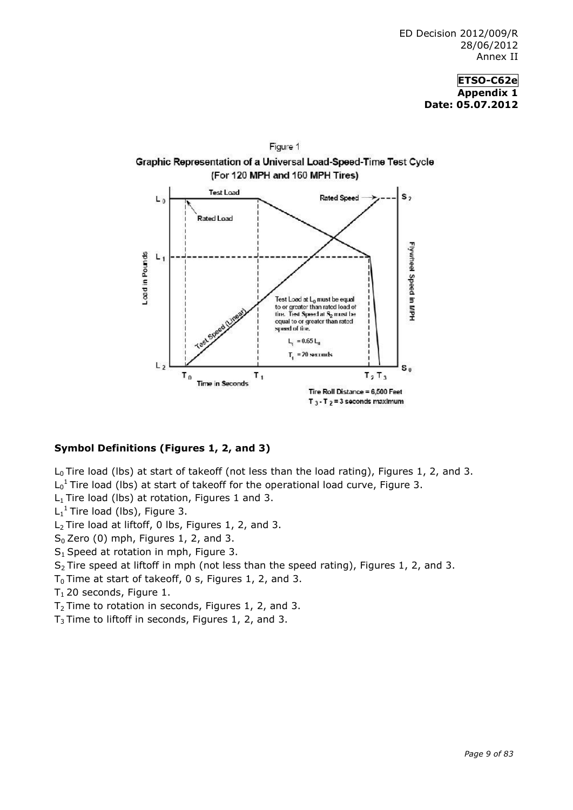

#### **Symbol Definitions (Figures 1, 2, and 3)**

 $L_0$  Tire load (lbs) at start of takeoff (not less than the load rating), Figures 1, 2, and 3.

 $L_0$ <sup>1</sup> Tire load (lbs) at start of takeoff for the operational load curve, Figure 3.

 $L_1$  Tire load (lbs) at rotation, Figures 1 and 3.

 $L_1^1$  Tire load (lbs), Figure 3.

L<sub>2</sub> Tire load at liftoff, 0 lbs, Figures 1, 2, and 3.

- $S_0$  Zero (0) mph, Figures 1, 2, and 3.
- S<sub>1</sub> Speed at rotation in mph, Figure 3.

S<sub>2</sub> Tire speed at liftoff in mph (not less than the speed rating), Figures 1, 2, and 3.

 $T_0$  Time at start of takeoff, 0 s, Figures 1, 2, and 3.

- $T_1$  20 seconds, Figure 1.
- $T_2$  Time to rotation in seconds, Figures 1, 2, and 3.
- $T_3$  Time to liftoff in seconds, Figures 1, 2, and 3.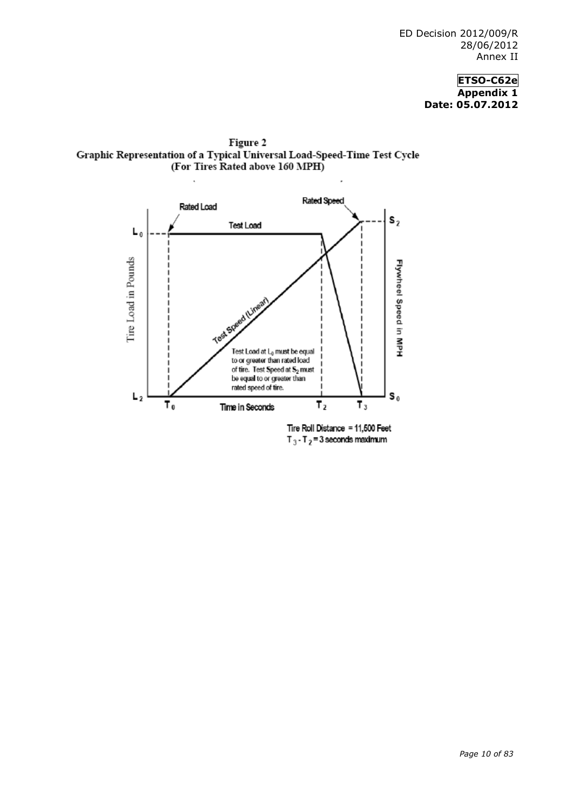Figure 2 Graphic Representation of a Typical Universal Load-Speed-Time Test Cycle (For Tires Rated above 160 MPH)



Tire Roll Distance = 11,500 Feet  $T_3 - T_2 = 3$  seconds maximum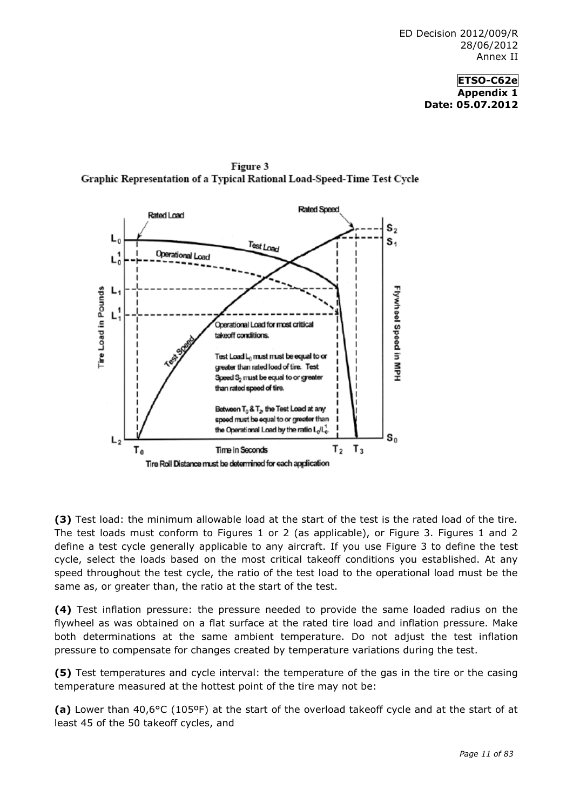

Figure 3 Graphic Representation of a Typical Rational Load-Speed-Time Test Cycle

**(3)** Test load: the minimum allowable load at the start of the test is the rated load of the tire. The test loads must conform to Figures 1 or 2 (as applicable), or Figure 3. Figures 1 and 2 define a test cycle generally applicable to any aircraft. If you use Figure 3 to define the test cycle, select the loads based on the most critical takeoff conditions you established. At any speed throughout the test cycle, the ratio of the test load to the operational load must be the same as, or greater than, the ratio at the start of the test.

**(4)** Test inflation pressure: the pressure needed to provide the same loaded radius on the flywheel as was obtained on a flat surface at the rated tire load and inflation pressure. Make both determinations at the same ambient temperature. Do not adjust the test inflation pressure to compensate for changes created by temperature variations during the test.

**(5)** Test temperatures and cycle interval: the temperature of the gas in the tire or the casing temperature measured at the hottest point of the tire may not be:

**(a)** Lower than 40,6°C (105ºF) at the start of the overload takeoff cycle and at the start of at least 45 of the 50 takeoff cycles, and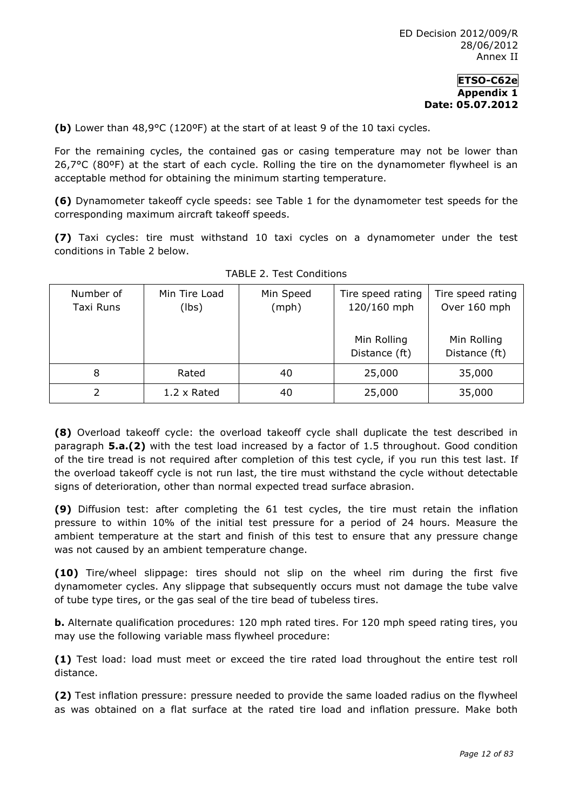**(b)** Lower than 48,9°C (120ºF) at the start of at least 9 of the 10 taxi cycles.

For the remaining cycles, the contained gas or casing temperature may not be lower than 26,7°C (80ºF) at the start of each cycle. Rolling the tire on the dynamometer flywheel is an acceptable method for obtaining the minimum starting temperature.

**(6)** Dynamometer takeoff cycle speeds: see Table 1 for the dynamometer test speeds for the corresponding maximum aircraft takeoff speeds.

**(7)** Taxi cycles: tire must withstand 10 taxi cycles on a dynamometer under the test conditions in Table 2 below.

| Number of<br>Taxi Runs | Min Tire Load<br>(lbs) | Min Speed<br>(mph) | Tire speed rating<br>120/160 mph<br>Min Rolling | Tire speed rating<br>Over 160 mph<br>Min Rolling |
|------------------------|------------------------|--------------------|-------------------------------------------------|--------------------------------------------------|
|                        |                        |                    | Distance (ft)                                   | Distance (ft)                                    |
| 8                      | Rated                  | 40                 | 25,000                                          | 35,000                                           |
|                        | $1.2 \times$ Rated     | 40                 | 25,000                                          | 35,000                                           |

**(8)** Overload takeoff cycle: the overload takeoff cycle shall duplicate the test described in paragraph **5.a.(2)** with the test load increased by a factor of 1.5 throughout. Good condition of the tire tread is not required after completion of this test cycle, if you run this test last. If the overload takeoff cycle is not run last, the tire must withstand the cycle without detectable signs of deterioration, other than normal expected tread surface abrasion.

**(9)** Diffusion test: after completing the 61 test cycles, the tire must retain the inflation pressure to within 10% of the initial test pressure for a period of 24 hours. Measure the ambient temperature at the start and finish of this test to ensure that any pressure change was not caused by an ambient temperature change.

**(10)** Tire/wheel slippage: tires should not slip on the wheel rim during the first five dynamometer cycles. Any slippage that subsequently occurs must not damage the tube valve of tube type tires, or the gas seal of the tire bead of tubeless tires.

**b.** Alternate qualification procedures: 120 mph rated tires. For 120 mph speed rating tires, you may use the following variable mass flywheel procedure:

**(1)** Test load: load must meet or exceed the tire rated load throughout the entire test roll distance.

**(2)** Test inflation pressure: pressure needed to provide the same loaded radius on the flywheel as was obtained on a flat surface at the rated tire load and inflation pressure. Make both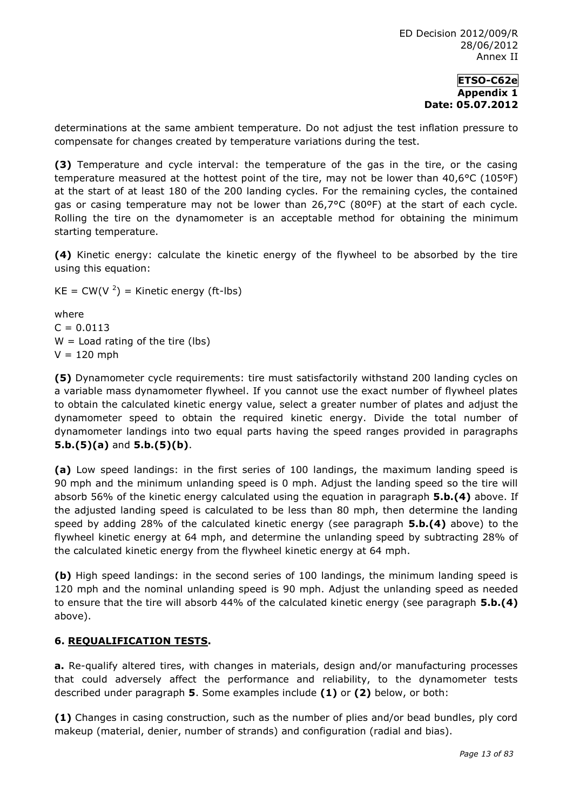determinations at the same ambient temperature. Do not adjust the test inflation pressure to compensate for changes created by temperature variations during the test.

**(3)** Temperature and cycle interval: the temperature of the gas in the tire, or the casing temperature measured at the hottest point of the tire, may not be lower than 40,6°C (105ºF) at the start of at least 180 of the 200 landing cycles. For the remaining cycles, the contained gas or casing temperature may not be lower than 26,7°C (80ºF) at the start of each cycle. Rolling the tire on the dynamometer is an acceptable method for obtaining the minimum starting temperature.

**(4)** Kinetic energy: calculate the kinetic energy of the flywheel to be absorbed by the tire using this equation:

 $KE = CW(V<sup>2</sup>) = Kinetic energy (ft-lbs)$ 

where  $C = 0.0113$  $W =$  Load rating of the tire (lbs)  $V = 120$  mph

**(5)** Dynamometer cycle requirements: tire must satisfactorily withstand 200 landing cycles on a variable mass dynamometer flywheel. If you cannot use the exact number of flywheel plates to obtain the calculated kinetic energy value, select a greater number of plates and adjust the dynamometer speed to obtain the required kinetic energy. Divide the total number of dynamometer landings into two equal parts having the speed ranges provided in paragraphs **5.b.(5)(a)** and **5.b.(5)(b)**.

**(a)** Low speed landings: in the first series of 100 landings, the maximum landing speed is 90 mph and the minimum unlanding speed is 0 mph. Adjust the landing speed so the tire will absorb 56% of the kinetic energy calculated using the equation in paragraph **5.b.(4)** above. If the adjusted landing speed is calculated to be less than 80 mph, then determine the landing speed by adding 28% of the calculated kinetic energy (see paragraph **5.b.(4)** above) to the flywheel kinetic energy at 64 mph, and determine the unlanding speed by subtracting 28% of the calculated kinetic energy from the flywheel kinetic energy at 64 mph.

**(b)** High speed landings: in the second series of 100 landings, the minimum landing speed is 120 mph and the nominal unlanding speed is 90 mph. Adjust the unlanding speed as needed to ensure that the tire will absorb 44% of the calculated kinetic energy (see paragraph **5.b.(4)**  above).

## **6. REQUALIFICATION TESTS.**

**a.** Re-qualify altered tires, with changes in materials, design and/or manufacturing processes that could adversely affect the performance and reliability, to the dynamometer tests described under paragraph **5**. Some examples include **(1)** or **(2)** below, or both:

**(1)** Changes in casing construction, such as the number of plies and/or bead bundles, ply cord makeup (material, denier, number of strands) and configuration (radial and bias).